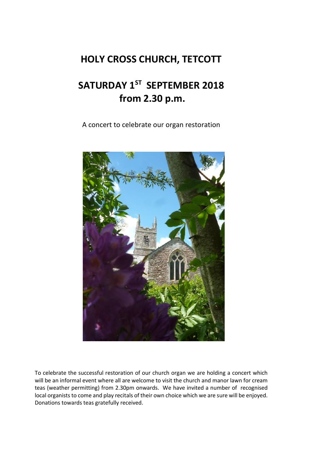## **HOLY CROSS CHURCH, TETCOTT**

## **SATURDAY 1ST SEPTEMBER 2018 from 2.30 p.m.**

A concert to celebrate our organ restoration



To celebrate the successful restoration of our church organ we are holding a concert which will be an informal event where all are welcome to visit the church and manor lawn for cream teas (weather permitting) from 2.30pm onwards. We have invited a number of recognised local organists to come and play recitals of their own choice which we are sure will be enjoyed. Donations towards teas gratefully received.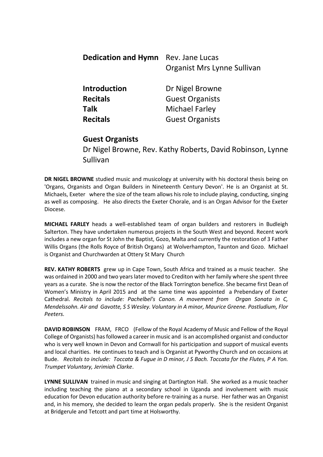| Rev. Jane Lucas             |
|-----------------------------|
| Organist Mrs Lynne Sullivan |
| Dr Nigel Browne             |
| <b>Guest Organists</b>      |
| Michael Farley              |
| <b>Guest Organists</b>      |
|                             |

## **Guest Organists**

Dr Nigel Browne, Rev. Kathy Roberts, David Robinson, Lynne Sullivan

**DR NIGEL BROWNE** studied music and musicology at university with his doctoral thesis being on 'Organs, Organists and Organ Builders in Nineteenth Century Devon'. He is an Organist at St. Michaels, Exeter where the size of the team allows his role to include playing, conducting, singing as well as composing. He also directs the Exeter Chorale, and is an Organ Advisor for the Exeter Diocese.

**MICHAEL FARLEY** heads a well-established team of organ builders and restorers in Budleigh Salterton. They have undertaken numerous projects in the South West and beyond. Recent work includes a new organ for St John the Baptist, Gozo, Malta and currently the restoration of 3 Father Willis Organs (the Rolls Royce of British Organs) at Wolverhampton, Taunton and Gozo. Michael is Organist and Churchwarden at Ottery St Mary Church

**REV. KATHY ROBERTS** grew up in Cape Town, South Africa and trained as a music teacher. She was ordained in 2000 and two years later moved to Crediton with her family where she spent three years as a curate. She is now the rector of the Black Torrington benefice. She became first Dean of Women's Ministry in April 2015 and at the same time was appointed a Prebendary of Exeter Cathedral. *Recitals to include: Pachelbel's Canon. A movement from Organ Sonata in C, Mendelssohn. Air and Gavotte, S S Wesley. Voluntary in A minor, Maurice Greene. Postludium, Flor Peeters.* 

**DAVID ROBINSON** FRAM, FRCO (Fellow of the Royal Academy of Music and Fellow of the Royal College of Organists) has followed a career in music and is an accomplished organist and conductor who is very well known in Devon and Cornwall for his participation and support of musical events and local charities. He continues to teach and is Organist at Pyworthy Church and on occasions at Bude. *Recitals to include: Toccata & Fugue in D minor, J S Bach. Toccata for the Flutes, P A Yon. Trumpet Voluntary, Jerimiah Clarke*.

**LYNNE SULLIVAN** trained in music and singing at Dartington Hall. She worked as a music teacher including teaching the piano at a secondary school in Uganda and involvement with music education for Devon education authority before re-training as a nurse. Her father was an Organist and, in his memory, she decided to learn the organ pedals properly. She is the resident Organist at Bridgerule and Tetcott and part time at Holsworthy.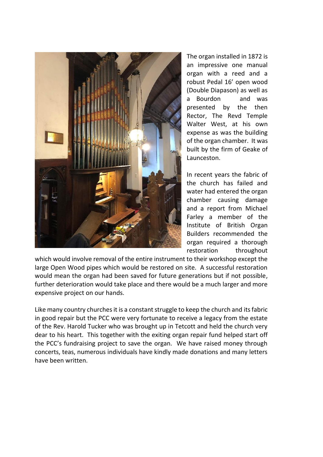

The organ installed in 1872 is an impressive one manual organ with a reed and a robust Pedal 16' open wood (Double Diapason) as well as a Bourdon and was presented by the then Rector, The Revd Temple Walter West, at his own expense as was the building of the organ chamber. It was built by the firm of Geake of Launceston.

In recent years the fabric of the church has failed and water had entered the organ chamber causing damage and a report from Michael Farley a member of the Institute of British Organ Builders recommended the organ required a thorough restoration throughout

which would involve removal of the entire instrument to their workshop except the large Open Wood pipes which would be restored on site. A successful restoration would mean the organ had been saved for future generations but if not possible, further deterioration would take place and there would be a much larger and more expensive project on our hands.

Like many country churches it is a constant struggle to keep the church and its fabric in good repair but the PCC were very fortunate to receive a legacy from the estate of the Rev. Harold Tucker who was brought up in Tetcott and held the church very dear to his heart. This together with the exiting organ repair fund helped start off the PCC's fundraising project to save the organ. We have raised money through concerts, teas, numerous individuals have kindly made donations and many letters have been written.